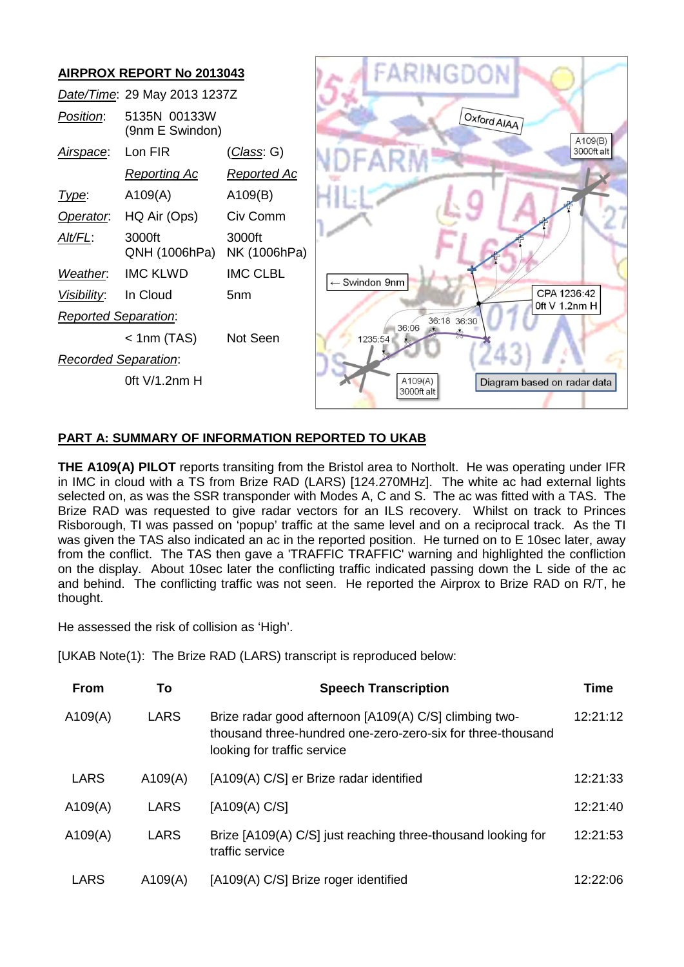

## **PART A: SUMMARY OF INFORMATION REPORTED TO UKAB**

**THE A109(A) PILOT** reports transiting from the Bristol area to Northolt. He was operating under IFR in IMC in cloud with a TS from Brize RAD (LARS) [124.270MHz]. The white ac had external lights selected on, as was the SSR transponder with Modes A, C and S. The ac was fitted with a TAS. The Brize RAD was requested to give radar vectors for an ILS recovery. Whilst on track to Princes Risborough, TI was passed on 'popup' traffic at the same level and on a reciprocal track. As the TI was given the TAS also indicated an ac in the reported position. He turned on to E 10sec later, away from the conflict. The TAS then gave a 'TRAFFIC TRAFFIC' warning and highlighted the confliction on the display. About 10sec later the conflicting traffic indicated passing down the L side of the ac and behind. The conflicting traffic was not seen. He reported the Airprox to Brize RAD on R/T, he thought.

He assessed the risk of collision as 'High'.

[UKAB Note(1): The Brize RAD (LARS) transcript is reproduced below:

| <b>From</b> | To      | <b>Speech Transcription</b>                                                                                                                          | <b>Time</b> |
|-------------|---------|------------------------------------------------------------------------------------------------------------------------------------------------------|-------------|
| A109(A)     | LARS    | Brize radar good afternoon [A109(A) C/S] climbing two-<br>thousand three-hundred one-zero-zero-six for three-thousand<br>looking for traffic service | 12:21:12    |
| LARS        | A109(A) | [A109(A) C/S] er Brize radar identified                                                                                                              | 12:21:33    |
| A109(A)     | LARS    | [A109(A) C/S]                                                                                                                                        | 12:21:40    |
| A109(A)     | LARS    | Brize [A109(A) C/S] just reaching three-thousand looking for<br>traffic service                                                                      | 12:21:53    |
| LARS        | A109(A) | [A109(A) C/S] Brize roger identified                                                                                                                 | 12:22:06    |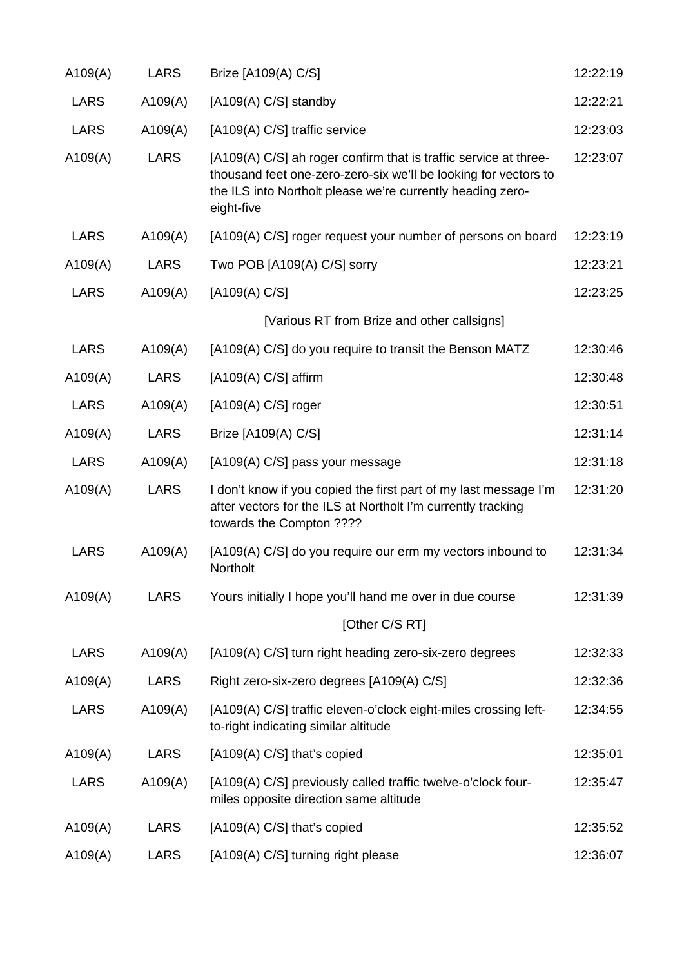| A109(A)     | <b>LARS</b> | Brize [A109(A) C/S]                                                                                                                                                                                             | 12:22:19 |
|-------------|-------------|-----------------------------------------------------------------------------------------------------------------------------------------------------------------------------------------------------------------|----------|
| <b>LARS</b> | A109(A)     | [A109(A) C/S] standby                                                                                                                                                                                           | 12:22:21 |
| <b>LARS</b> | A109(A)     | [A109(A) C/S] traffic service                                                                                                                                                                                   | 12:23:03 |
| A109(A)     | <b>LARS</b> | [A109(A) C/S] ah roger confirm that is traffic service at three-<br>thousand feet one-zero-zero-six we'll be looking for vectors to<br>the ILS into Northolt please we're currently heading zero-<br>eight-five | 12:23:07 |
| <b>LARS</b> | A109(A)     | [A109(A) C/S] roger request your number of persons on board                                                                                                                                                     | 12:23:19 |
| A109(A)     | <b>LARS</b> | Two POB [A109(A) C/S] sorry                                                                                                                                                                                     | 12:23:21 |
| <b>LARS</b> | A109(A)     | [A109(A) C/S]                                                                                                                                                                                                   | 12:23:25 |
|             |             | [Various RT from Brize and other callsigns]                                                                                                                                                                     |          |
| <b>LARS</b> | A109(A)     | [A109(A) C/S] do you require to transit the Benson MATZ                                                                                                                                                         | 12:30:46 |
| A109(A)     | <b>LARS</b> | $[A109(A) C/S]$ affirm                                                                                                                                                                                          | 12:30:48 |
| <b>LARS</b> | A109(A)     | $[A109(A) C/S]$ roger                                                                                                                                                                                           | 12:30:51 |
| A109(A)     | <b>LARS</b> | Brize [A109(A) C/S]                                                                                                                                                                                             | 12:31:14 |
| <b>LARS</b> | A109(A)     | [A109(A) C/S] pass your message                                                                                                                                                                                 | 12:31:18 |
| A109(A)     | <b>LARS</b> | I don't know if you copied the first part of my last message I'm<br>after vectors for the ILS at Northolt I'm currently tracking<br>towards the Compton ????                                                    | 12:31:20 |
| <b>LARS</b> | A109(A)     | [A109(A) C/S] do you require our erm my vectors inbound to<br>Northolt                                                                                                                                          | 12:31:34 |
| A109(A)     | <b>LARS</b> | Yours initially I hope you'll hand me over in due course                                                                                                                                                        | 12:31:39 |
|             |             | [Other C/S RT]                                                                                                                                                                                                  |          |
| <b>LARS</b> | A109(A)     | [A109(A) C/S] turn right heading zero-six-zero degrees                                                                                                                                                          | 12:32:33 |
| A109(A)     | <b>LARS</b> | Right zero-six-zero degrees [A109(A) C/S]                                                                                                                                                                       | 12:32:36 |
| <b>LARS</b> | A109(A)     | [A109(A) C/S] traffic eleven-o'clock eight-miles crossing left-<br>to-right indicating similar altitude                                                                                                         | 12:34:55 |
| A109(A)     | <b>LARS</b> | [A109(A) C/S] that's copied                                                                                                                                                                                     | 12:35:01 |
| <b>LARS</b> | A109(A)     | [A109(A) C/S] previously called traffic twelve-o'clock four-<br>miles opposite direction same altitude                                                                                                          | 12:35:47 |
| A109(A)     | <b>LARS</b> | [A109(A) C/S] that's copied                                                                                                                                                                                     | 12:35:52 |
| A109(A)     | <b>LARS</b> | [A109(A) C/S] turning right please                                                                                                                                                                              | 12:36:07 |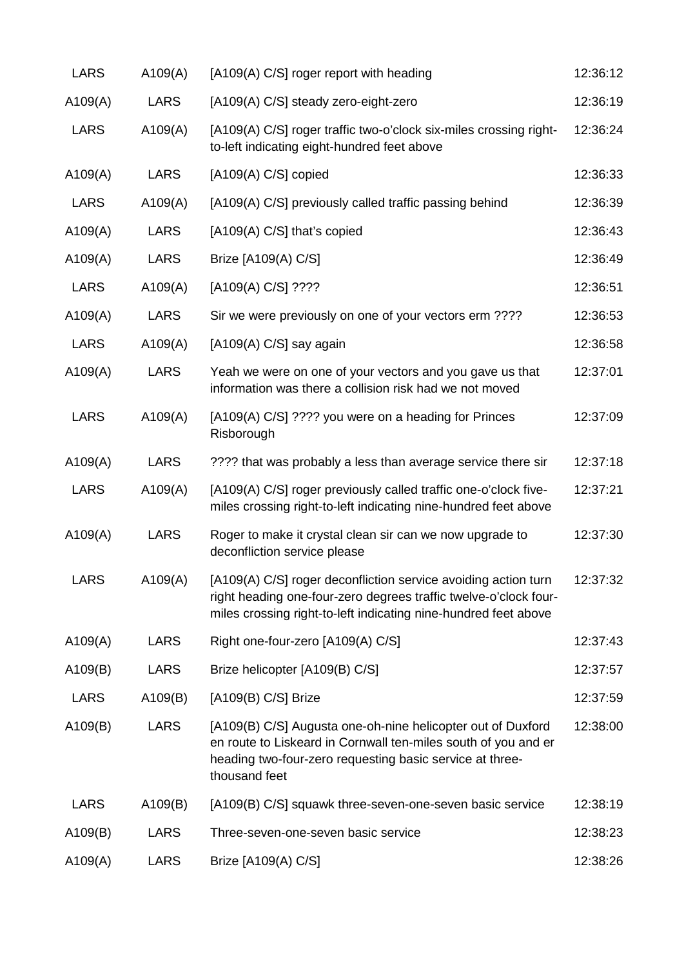| <b>LARS</b> | A109(A)     | [A109(A) C/S] roger report with heading                                                                                                                                                                    | 12:36:12 |
|-------------|-------------|------------------------------------------------------------------------------------------------------------------------------------------------------------------------------------------------------------|----------|
| A109(A)     | <b>LARS</b> | [A109(A) C/S] steady zero-eight-zero                                                                                                                                                                       | 12:36:19 |
| <b>LARS</b> | A109(A)     | [A109(A) C/S] roger traffic two-o'clock six-miles crossing right-<br>to-left indicating eight-hundred feet above                                                                                           | 12:36:24 |
| A109(A)     | <b>LARS</b> | $[A109(A) C/S]$ copied                                                                                                                                                                                     | 12:36:33 |
| <b>LARS</b> | A109(A)     | [A109(A) C/S] previously called traffic passing behind                                                                                                                                                     | 12:36:39 |
| A109(A)     | <b>LARS</b> | [A109(A) C/S] that's copied                                                                                                                                                                                | 12:36:43 |
| A109(A)     | <b>LARS</b> | Brize [A109(A) C/S]                                                                                                                                                                                        | 12:36:49 |
| <b>LARS</b> | A109(A)     | [A109(A) C/S] ????                                                                                                                                                                                         | 12:36:51 |
| A109(A)     | <b>LARS</b> | Sir we were previously on one of your vectors erm ????                                                                                                                                                     | 12:36:53 |
| <b>LARS</b> | A109(A)     | [A109(A) C/S] say again                                                                                                                                                                                    | 12:36:58 |
| A109(A)     | <b>LARS</b> | Yeah we were on one of your vectors and you gave us that<br>information was there a collision risk had we not moved                                                                                        | 12:37:01 |
| <b>LARS</b> | A109(A)     | [A109(A) C/S] ???? you were on a heading for Princes<br>Risborough                                                                                                                                         | 12:37:09 |
| A109(A)     | <b>LARS</b> | ???? that was probably a less than average service there sir                                                                                                                                               | 12:37:18 |
| <b>LARS</b> | A109(A)     | [A109(A) C/S] roger previously called traffic one-o'clock five-<br>miles crossing right-to-left indicating nine-hundred feet above                                                                         | 12:37:21 |
| A109(A)     | <b>LARS</b> | Roger to make it crystal clean sir can we now upgrade to<br>deconfliction service please                                                                                                                   | 12:37:30 |
| <b>LARS</b> | A109(A)     | [A109(A) C/S] roger deconfliction service avoiding action turn<br>right heading one-four-zero degrees traffic twelve-o'clock four-<br>miles crossing right-to-left indicating nine-hundred feet above      | 12:37:32 |
| A109(A)     | <b>LARS</b> | Right one-four-zero [A109(A) C/S]                                                                                                                                                                          | 12:37:43 |
| A109(B)     | <b>LARS</b> | Brize helicopter [A109(B) C/S]                                                                                                                                                                             | 12:37:57 |
| <b>LARS</b> | A109(B)     | [A109(B) C/S] Brize                                                                                                                                                                                        | 12:37:59 |
| A109(B)     | <b>LARS</b> | [A109(B) C/S] Augusta one-oh-nine helicopter out of Duxford<br>en route to Liskeard in Cornwall ten-miles south of you and er<br>heading two-four-zero requesting basic service at three-<br>thousand feet | 12:38:00 |
| <b>LARS</b> | A109(B)     | [A109(B) C/S] squawk three-seven-one-seven basic service                                                                                                                                                   | 12:38:19 |
| A109(B)     | <b>LARS</b> | Three-seven-one-seven basic service                                                                                                                                                                        | 12:38:23 |
| A109(A)     | <b>LARS</b> | Brize [A109(A) C/S]                                                                                                                                                                                        | 12:38:26 |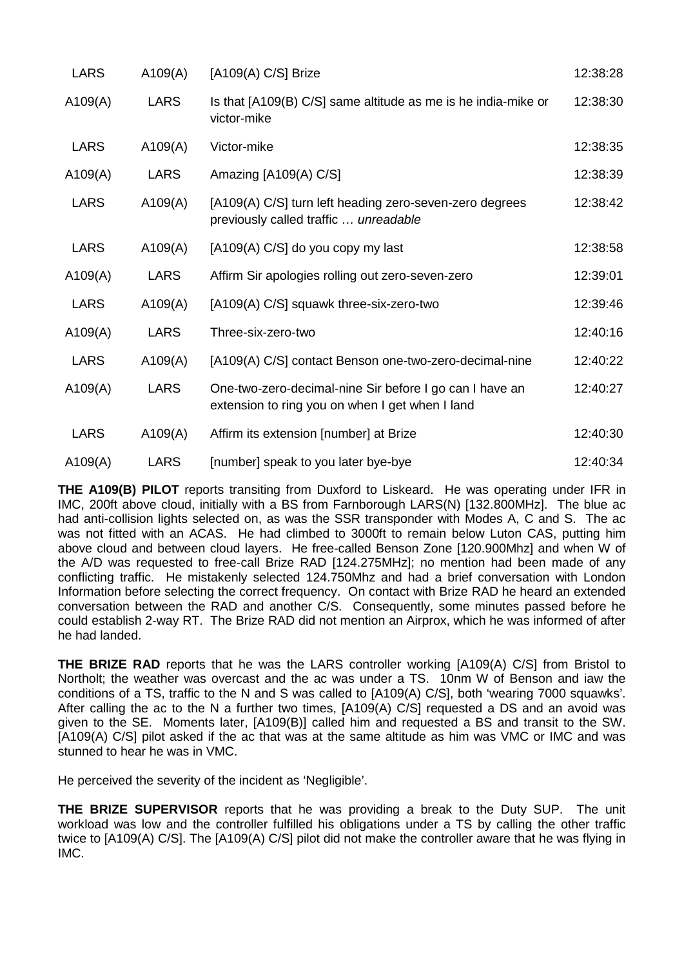| <b>LARS</b> | A109(A)     | $[A109(A) C/S]$ Brize                                                                                      | 12:38:28 |
|-------------|-------------|------------------------------------------------------------------------------------------------------------|----------|
| A109(A)     | <b>LARS</b> | Is that [A109(B) C/S] same altitude as me is he india-mike or<br>victor-mike                               | 12:38:30 |
| <b>LARS</b> | A109(A)     | Victor-mike                                                                                                | 12:38:35 |
| A109(A)     | <b>LARS</b> | Amazing [A109(A) C/S]                                                                                      | 12:38:39 |
| <b>LARS</b> | A109(A)     | [A109(A) C/S] turn left heading zero-seven-zero degrees<br>previously called traffic  unreadable           | 12:38:42 |
| <b>LARS</b> | A109(A)     | [A109(A) C/S] do you copy my last                                                                          | 12:38:58 |
| A109(A)     | <b>LARS</b> | Affirm Sir apologies rolling out zero-seven-zero                                                           | 12:39:01 |
| <b>LARS</b> | A109(A)     | [A109(A) C/S] squawk three-six-zero-two                                                                    | 12:39:46 |
| A109(A)     | <b>LARS</b> | Three-six-zero-two                                                                                         | 12:40:16 |
| <b>LARS</b> | A109(A)     | [A109(A) C/S] contact Benson one-two-zero-decimal-nine                                                     | 12:40:22 |
| A109(A)     | <b>LARS</b> | One-two-zero-decimal-nine Sir before I go can I have an<br>extension to ring you on when I get when I land | 12:40:27 |
| <b>LARS</b> | A109(A)     | Affirm its extension [number] at Brize                                                                     | 12:40:30 |
| A109(A)     | <b>LARS</b> | [number] speak to you later bye-bye                                                                        | 12:40:34 |

**THE A109(B) PILOT** reports transiting from Duxford to Liskeard. He was operating under IFR in IMC, 200ft above cloud, initially with a BS from Farnborough LARS(N) [132.800MHz]. The blue ac had anti-collision lights selected on, as was the SSR transponder with Modes A, C and S. The ac was not fitted with an ACAS. He had climbed to 3000ft to remain below Luton CAS, putting him above cloud and between cloud layers. He free-called Benson Zone [120.900Mhz] and when W of the A/D was requested to free-call Brize RAD [124.275MHz]; no mention had been made of any conflicting traffic. He mistakenly selected 124.750Mhz and had a brief conversation with London Information before selecting the correct frequency. On contact with Brize RAD he heard an extended conversation between the RAD and another C/S. Consequently, some minutes passed before he could establish 2-way RT. The Brize RAD did not mention an Airprox, which he was informed of after he had landed.

**THE BRIZE RAD** reports that he was the LARS controller working [A109(A) C/S] from Bristol to Northolt; the weather was overcast and the ac was under a TS. 10nm W of Benson and iaw the conditions of a TS, traffic to the N and S was called to [A109(A) C/S], both 'wearing 7000 squawks'. After calling the ac to the N a further two times, [A109(A) C/S] requested a DS and an avoid was given to the SE. Moments later, [A109(B)] called him and requested a BS and transit to the SW. [A109(A) C/S] pilot asked if the ac that was at the same altitude as him was VMC or IMC and was stunned to hear he was in VMC.

He perceived the severity of the incident as 'Negligible'.

**THE BRIZE SUPERVISOR** reports that he was providing a break to the Duty SUP. The unit workload was low and the controller fulfilled his obligations under a TS by calling the other traffic twice to [A109(A) C/S]. The [A109(A) C/S] pilot did not make the controller aware that he was flying in IMC.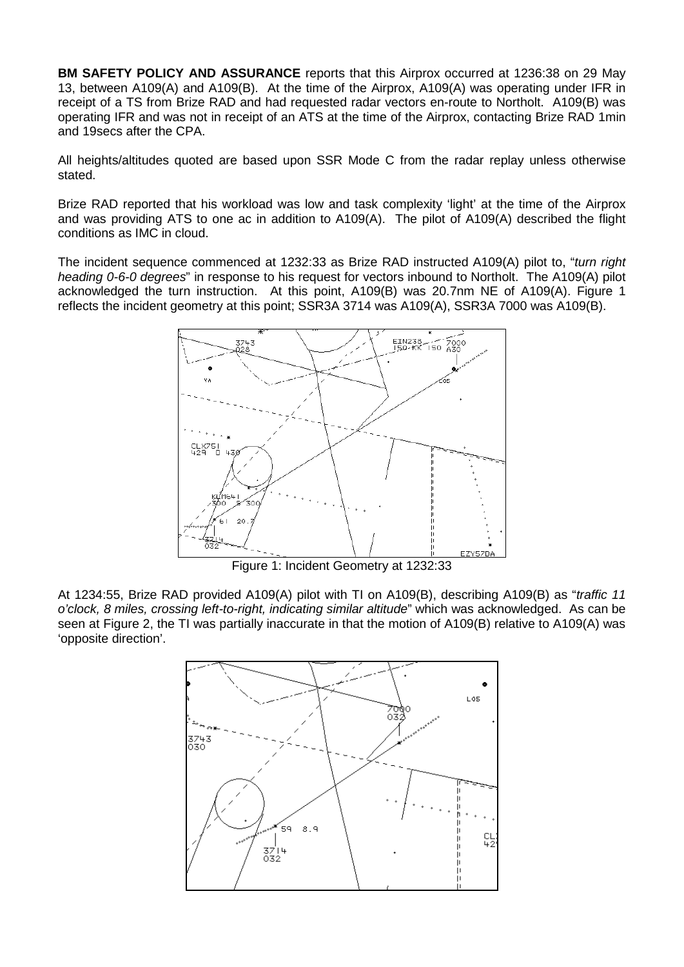**BM SAFETY POLICY AND ASSURANCE** reports that this Airprox occurred at 1236:38 on 29 May 13, between A109(A) and A109(B). At the time of the Airprox, A109(A) was operating under IFR in receipt of a TS from Brize RAD and had requested radar vectors en-route to Northolt. A109(B) was operating IFR and was not in receipt of an ATS at the time of the Airprox, contacting Brize RAD 1min and 19secs after the CPA.

All heights/altitudes quoted are based upon SSR Mode C from the radar replay unless otherwise stated.

Brize RAD reported that his workload was low and task complexity 'light' at the time of the Airprox and was providing ATS to one ac in addition to A109(A). The pilot of A109(A) described the flight conditions as IMC in cloud.

The incident sequence commenced at 1232:33 as Brize RAD instructed A109(A) pilot to, "*turn right heading 0-6-0 degrees*" in response to his request for vectors inbound to Northolt. The A109(A) pilot acknowledged the turn instruction. At this point, A109(B) was 20.7nm NE of A109(A). Figure 1 reflects the incident geometry at this point; SSR3A 3714 was A109(A), SSR3A 7000 was A109(B).



Figure 1: Incident Geometry at 1232:33

At 1234:55, Brize RAD provided A109(A) pilot with TI on A109(B), describing A109(B) as "*traffic 11 o'clock, 8 miles, crossing left-to-right, indicating similar altitude*" which was acknowledged. As can be seen at Figure 2, the TI was partially inaccurate in that the motion of A109(B) relative to A109(A) was 'opposite direction'.

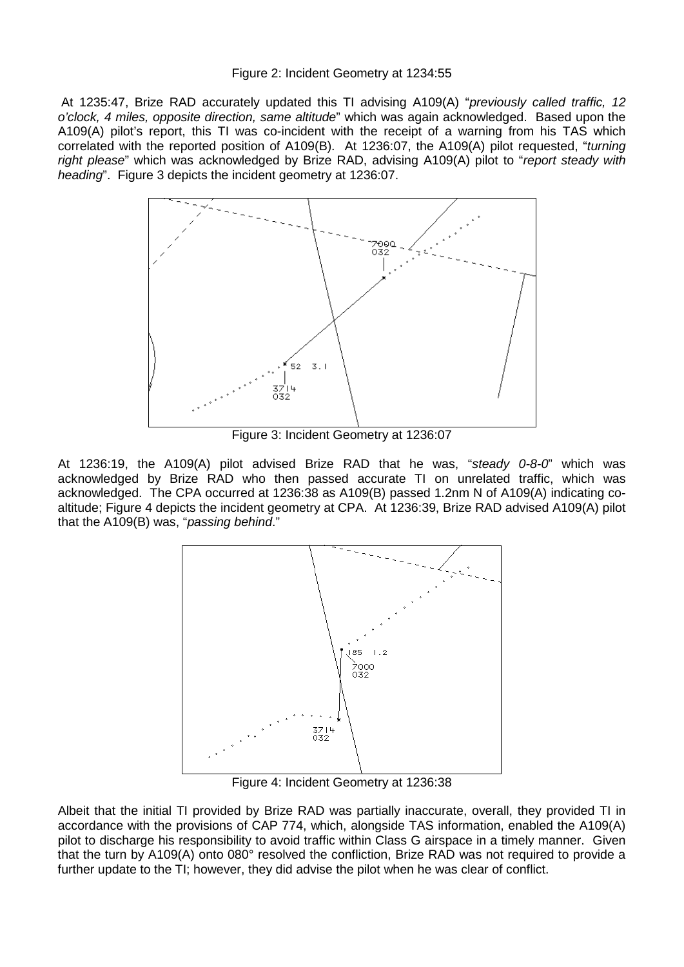## Figure 2: Incident Geometry at 1234:55

At 1235:47, Brize RAD accurately updated this TI advising A109(A) "*previously called traffic, 12 o'clock, 4 miles, opposite direction, same altitude*" which was again acknowledged. Based upon the A109(A) pilot's report, this TI was co-incident with the receipt of a warning from his TAS which correlated with the reported position of A109(B). At 1236:07, the A109(A) pilot requested, "*turning right please*" which was acknowledged by Brize RAD, advising A109(A) pilot to "*report steady with heading*". Figure 3 depicts the incident geometry at 1236:07.



Figure 3: Incident Geometry at 1236:07

At 1236:19, the A109(A) pilot advised Brize RAD that he was, "*steady 0-8-0*" which was acknowledged by Brize RAD who then passed accurate TI on unrelated traffic, which was acknowledged. The CPA occurred at 1236:38 as A109(B) passed 1.2nm N of A109(A) indicating coaltitude; Figure 4 depicts the incident geometry at CPA. At 1236:39, Brize RAD advised A109(A) pilot that the A109(B) was, "*passing behind*."



Figure 4: Incident Geometry at 1236:38

Albeit that the initial TI provided by Brize RAD was partially inaccurate, overall, they provided TI in accordance with the provisions of CAP 774, which, alongside TAS information, enabled the A109(A) pilot to discharge his responsibility to avoid traffic within Class G airspace in a timely manner. Given that the turn by A109(A) onto 080° resolved the confliction, Brize RAD was not required to provide a further update to the TI; however, they did advise the pilot when he was clear of conflict.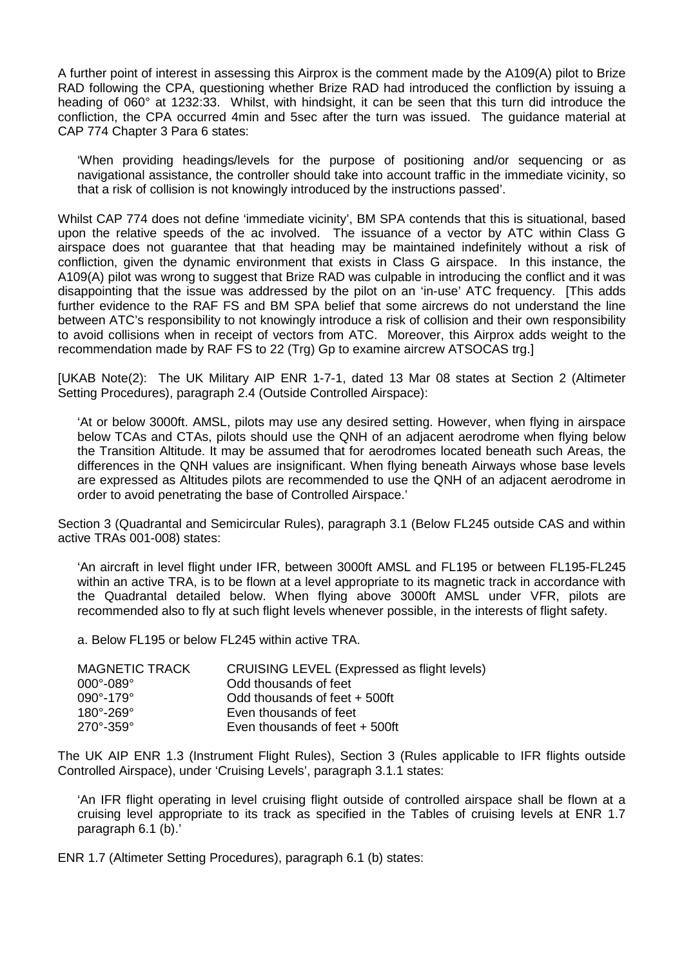A further point of interest in assessing this Airprox is the comment made by the A109(A) pilot to Brize RAD following the CPA, questioning whether Brize RAD had introduced the confliction by issuing a heading of 060° at 1232:33. Whilst, with hindsight, it can be seen that this turn did introduce the confliction, the CPA occurred 4min and 5sec after the turn was issued. The guidance material at CAP 774 Chapter 3 Para 6 states:

'When providing headings/levels for the purpose of positioning and/or sequencing or as navigational assistance, the controller should take into account traffic in the immediate vicinity, so that a risk of collision is not knowingly introduced by the instructions passed'.

Whilst CAP 774 does not define 'immediate vicinity', BM SPA contends that this is situational, based upon the relative speeds of the ac involved. The issuance of a vector by ATC within Class G airspace does not guarantee that that heading may be maintained indefinitely without a risk of confliction, given the dynamic environment that exists in Class G airspace. In this instance, the A109(A) pilot was wrong to suggest that Brize RAD was culpable in introducing the conflict and it was disappointing that the issue was addressed by the pilot on an 'in-use' ATC frequency. [This adds further evidence to the RAF FS and BM SPA belief that some aircrews do not understand the line between ATC's responsibility to not knowingly introduce a risk of collision and their own responsibility to avoid collisions when in receipt of vectors from ATC. Moreover, this Airprox adds weight to the recommendation made by RAF FS to 22 (Trg) Gp to examine aircrew ATSOCAS trg.]

[UKAB Note(2): The UK Military AIP ENR 1-7-1, dated 13 Mar 08 states at Section 2 (Altimeter Setting Procedures), paragraph 2.4 (Outside Controlled Airspace):

'At or below 3000ft. AMSL, pilots may use any desired setting. However, when flying in airspace below TCAs and CTAs, pilots should use the QNH of an adjacent aerodrome when flying below the Transition Altitude. It may be assumed that for aerodromes located beneath such Areas, the differences in the QNH values are insignificant. When flying beneath Airways whose base levels are expressed as Altitudes pilots are recommended to use the QNH of an adjacent aerodrome in order to avoid penetrating the base of Controlled Airspace.'

Section 3 (Quadrantal and Semicircular Rules), paragraph 3.1 (Below FL245 outside CAS and within active TRAs 001-008) states:

'An aircraft in level flight under IFR, between 3000ft AMSL and FL195 or between FL195-FL245 within an active TRA, is to be flown at a level appropriate to its magnetic track in accordance with the Quadrantal detailed below. When flying above 3000ft AMSL under VFR, pilots are recommended also to fly at such flight levels whenever possible, in the interests of flight safety.

a. Below FL195 or below FL245 within active TRA.

| MAGNETIC TRACK              | CRUISING LEVEL (Expressed as flight levels) |
|-----------------------------|---------------------------------------------|
| 000°-089°                   | Odd thousands of feet                       |
| $090^{\circ} - 179^{\circ}$ | Odd thousands of feet + 500ft               |
| $180^\circ - 269^\circ$     | Even thousands of feet                      |
| $270^{\circ} - 359^{\circ}$ | Even thousands of feet $+500$ ft            |

The UK AIP ENR 1.3 (Instrument Flight Rules), Section 3 (Rules applicable to IFR flights outside Controlled Airspace), under 'Cruising Levels', paragraph 3.1.1 states:

'An IFR flight operating in level cruising flight outside of controlled airspace shall be flown at a cruising level appropriate to its track as specified in the Tables of cruising levels at ENR 1.7 paragraph 6.1 (b).'

ENR 1.7 (Altimeter Setting Procedures), paragraph 6.1 (b) states: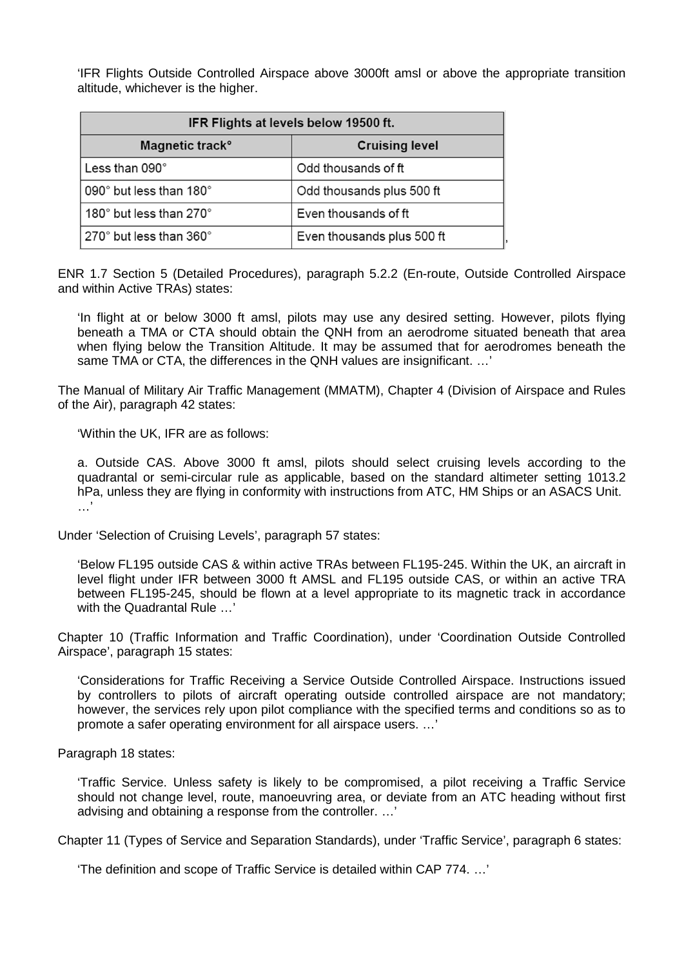'IFR Flights Outside Controlled Airspace above 3000ft amsl or above the appropriate transition altitude, whichever is the higher.

| IFR Flights at levels below 19500 ft.       |                            |  |  |
|---------------------------------------------|----------------------------|--|--|
| Magnetic track <sup>o</sup>                 | <b>Cruising level</b>      |  |  |
| Less than 090°                              | Odd thousands of ft        |  |  |
| 090° but less than 180°                     | Odd thousands plus 500 ft  |  |  |
| 180 $^{\circ}$ but less than 270 $^{\circ}$ | Even thousands of ft       |  |  |
| $270^{\circ}$ but less than 360 $^{\circ}$  | Even thousands plus 500 ft |  |  |

ENR 1.7 Section 5 (Detailed Procedures), paragraph 5.2.2 (En-route, Outside Controlled Airspace and within Active TRAs) states:

'In flight at or below 3000 ft amsl, pilots may use any desired setting. However, pilots flying beneath a TMA or CTA should obtain the QNH from an aerodrome situated beneath that area when flying below the Transition Altitude. It may be assumed that for aerodromes beneath the same TMA or CTA, the differences in the QNH values are insignificant. …'

The Manual of Military Air Traffic Management (MMATM), Chapter 4 (Division of Airspace and Rules of the Air), paragraph 42 states:

'Within the UK, IFR are as follows:

a. Outside CAS. Above 3000 ft amsl, pilots should select cruising levels according to the quadrantal or semi-circular rule as applicable, based on the standard altimeter setting 1013.2 hPa, unless they are flying in conformity with instructions from ATC, HM Ships or an ASACS Unit. …'

Under 'Selection of Cruising Levels', paragraph 57 states:

'Below FL195 outside CAS & within active TRAs between FL195-245. Within the UK, an aircraft in level flight under IFR between 3000 ft AMSL and FL195 outside CAS, or within an active TRA between FL195-245, should be flown at a level appropriate to its magnetic track in accordance with the Quadrantal Rule …'

Chapter 10 (Traffic Information and Traffic Coordination), under 'Coordination Outside Controlled Airspace', paragraph 15 states:

'Considerations for Traffic Receiving a Service Outside Controlled Airspace. Instructions issued by controllers to pilots of aircraft operating outside controlled airspace are not mandatory; however, the services rely upon pilot compliance with the specified terms and conditions so as to promote a safer operating environment for all airspace users. …'

Paragraph 18 states:

'Traffic Service. Unless safety is likely to be compromised, a pilot receiving a Traffic Service should not change level, route, manoeuvring area, or deviate from an ATC heading without first advising and obtaining a response from the controller. …'

Chapter 11 (Types of Service and Separation Standards), under 'Traffic Service', paragraph 6 states:

'The definition and scope of Traffic Service is detailed within CAP 774. …'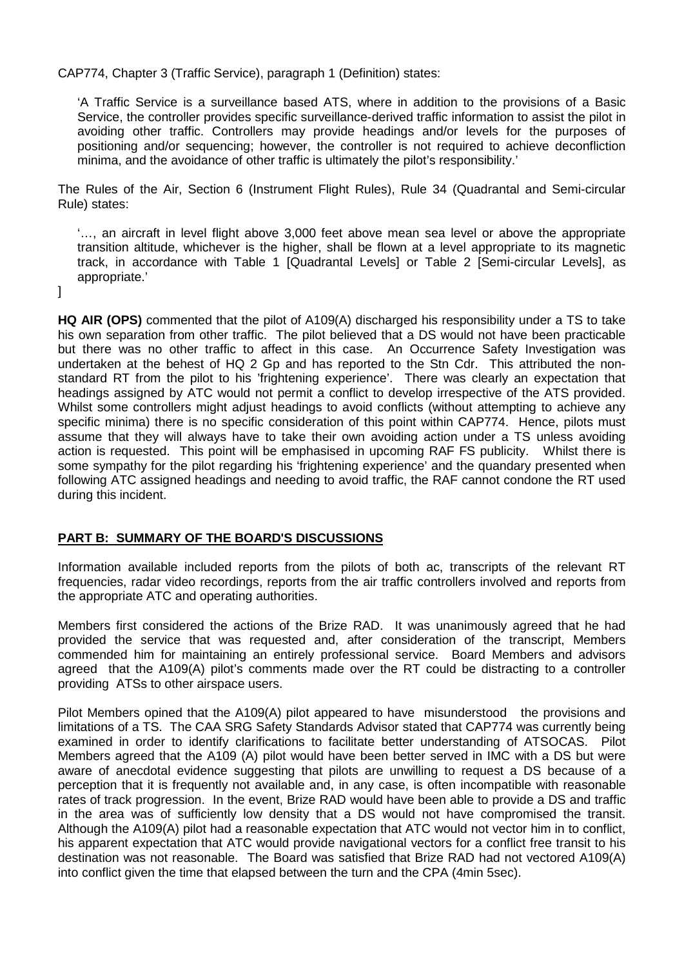CAP774, Chapter 3 (Traffic Service), paragraph 1 (Definition) states:

'A Traffic Service is a surveillance based ATS, where in addition to the provisions of a Basic Service, the controller provides specific surveillance-derived traffic information to assist the pilot in avoiding other traffic. Controllers may provide headings and/or levels for the purposes of positioning and/or sequencing; however, the controller is not required to achieve deconfliction minima, and the avoidance of other traffic is ultimately the pilot's responsibility.'

The Rules of the Air, Section 6 (Instrument Flight Rules), Rule 34 (Quadrantal and Semi-circular Rule) states:

'…, an aircraft in level flight above 3,000 feet above mean sea level or above the appropriate transition altitude, whichever is the higher, shall be flown at a level appropriate to its magnetic track, in accordance with Table 1 [Quadrantal Levels] or Table 2 [Semi-circular Levels], as appropriate.'

]

**HQ AIR (OPS)** commented that the pilot of A109(A) discharged his responsibility under a TS to take his own separation from other traffic. The pilot believed that a DS would not have been practicable but there was no other traffic to affect in this case. An Occurrence Safety Investigation was undertaken at the behest of HQ 2 Gp and has reported to the Stn Cdr. This attributed the nonstandard RT from the pilot to his 'frightening experience'. There was clearly an expectation that headings assigned by ATC would not permit a conflict to develop irrespective of the ATS provided. Whilst some controllers might adjust headings to avoid conflicts (without attempting to achieve any specific minima) there is no specific consideration of this point within CAP774. Hence, pilots must assume that they will always have to take their own avoiding action under a TS unless avoiding action is requested. This point will be emphasised in upcoming RAF FS publicity. Whilst there is some sympathy for the pilot regarding his 'frightening experience' and the quandary presented when following ATC assigned headings and needing to avoid traffic, the RAF cannot condone the RT used during this incident.

## **PART B: SUMMARY OF THE BOARD'S DISCUSSIONS**

Information available included reports from the pilots of both ac, transcripts of the relevant RT frequencies, radar video recordings, reports from the air traffic controllers involved and reports from the appropriate ATC and operating authorities.

Members first considered the actions of the Brize RAD. It was unanimously agreed that he had provided the service that was requested and, after consideration of the transcript, Members commended him for maintaining an entirely professional service. Board Members and advisors agreed that the A109(A) pilot's comments made over the RT could be distracting to a controller providing ATSs to other airspace users.

Pilot Members opined that the A109(A) pilot appeared to have misunderstood the provisions and limitations of a TS. The CAA SRG Safety Standards Advisor stated that CAP774 was currently being examined in order to identify clarifications to facilitate better understanding of ATSOCAS. Pilot Members agreed that the A109 (A) pilot would have been better served in IMC with a DS but were aware of anecdotal evidence suggesting that pilots are unwilling to request a DS because of a perception that it is frequently not available and, in any case, is often incompatible with reasonable rates of track progression. In the event, Brize RAD would have been able to provide a DS and traffic in the area was of sufficiently low density that a DS would not have compromised the transit. Although the A109(A) pilot had a reasonable expectation that ATC would not vector him in to conflict, his apparent expectation that ATC would provide navigational vectors for a conflict free transit to his destination was not reasonable. The Board was satisfied that Brize RAD had not vectored A109(A) into conflict given the time that elapsed between the turn and the CPA (4min 5sec).